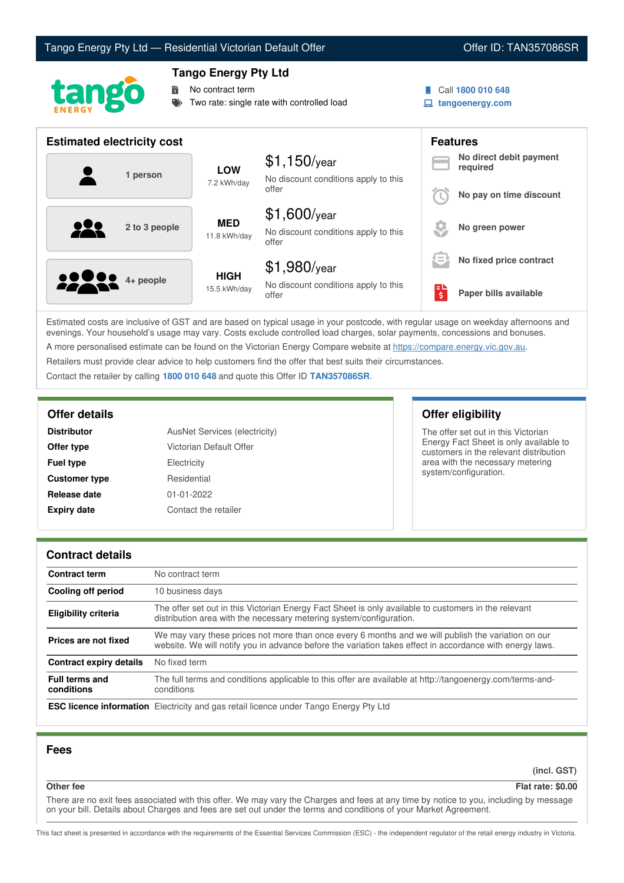# Tango Energy Pty Ltd — Residential Victorian Default Offer **Communist Communist Communist Communist Communist Communist Communist Communist Communist Communist Communist Communist Communist Communist Communist Communist Co**



# **Tango Energy Pty Ltd**

No contract term

Two rate: single rate with controlled load

- 
- Call **1800 010 648**
- **tangoenergy.com**

| <b>Estimated electricity cost</b> |                             |                                                                 | <b>Features</b> |                                     |
|-----------------------------------|-----------------------------|-----------------------------------------------------------------|-----------------|-------------------------------------|
| 1 person                          | <b>LOW</b><br>7.2 kWh/day   | $$1,150$ /year<br>No discount conditions apply to this          |                 | No direct debit payment<br>required |
|                                   |                             | offer                                                           |                 | No pay on time discount             |
| 121<br>2 to 3 people              | <b>MED</b><br>11.8 kWh/day  | $$1,600$ /year<br>No discount conditions apply to this<br>offer |                 | No green power                      |
|                                   |                             | $$1,980$ /year                                                  | $=$             | No fixed price contract             |
| <b>2000</b> 4+ people             | <b>HIGH</b><br>15.5 kWh/day | No discount conditions apply to this<br>offer                   | ś               | Paper bills available               |

Estimated costs are inclusive of GST and are based on typical usage in your postcode, with regular usage on weekday afternoons and evenings. Your household's usage may vary. Costs exclude controlled load charges, solar payments, concessions and bonuses. A more personalised estimate can be found on the Victorian Energy Compare website at <https://compare.energy.vic.gov.au>.

Retailers must provide clear advice to help customers find the offer that best suits their circumstances.

Contact the retailer by calling **1800 010 648** and quote this Offer ID **TAN357086SR**.

| <b>Distributor</b>   | AusNet Services (electricity) |  |
|----------------------|-------------------------------|--|
| Offer type           | Victorian Default Offer       |  |
| <b>Fuel type</b>     | Electricity                   |  |
| <b>Customer type</b> | Residential                   |  |
| Release date         | $01 - 01 - 2022$              |  |
| <b>Expiry date</b>   | Contact the retailer          |  |

**Offer details Offer eligibility**

The offer set out in this Victorian Energy Fact Sheet is only available to customers in the relevant distribution area with the necessary metering system/configuration.

# **Contract details**

| <b>Contract term</b>                | No contract term                                                                                                                                                                                                |  |
|-------------------------------------|-----------------------------------------------------------------------------------------------------------------------------------------------------------------------------------------------------------------|--|
| Cooling off period                  | 10 business days                                                                                                                                                                                                |  |
| <b>Eligibility criteria</b>         | The offer set out in this Victorian Energy Fact Sheet is only available to customers in the relevant<br>distribution area with the necessary metering system/configuration.                                     |  |
| Prices are not fixed                | We may vary these prices not more than once every 6 months and we will publish the variation on our<br>website. We will notify you in advance before the variation takes effect in accordance with energy laws. |  |
| <b>Contract expiry details</b>      | No fixed term                                                                                                                                                                                                   |  |
| <b>Full terms and</b><br>conditions | The full terms and conditions applicable to this offer are available at http://tangoenergy.com/terms-and-<br>conditions                                                                                         |  |
|                                     | <b>ESC licence information</b> Electricity and gas retail licence under Tango Energy Pty Ltd                                                                                                                    |  |

# **Fees**

**(incl. GST)**

### **Other fee Flat rate: \$0.00**

There are no exit fees associated with this offer. We may vary the Charges and fees at any time by notice to you, including by message on your bill. Details about Charges and fees are set out under the terms and conditions of your Market Agreement.

This fact sheet is presented in accordance with the requirements of the Essential Services Commission (ESC) - the independent regulator of the retail energy industry in Victoria.